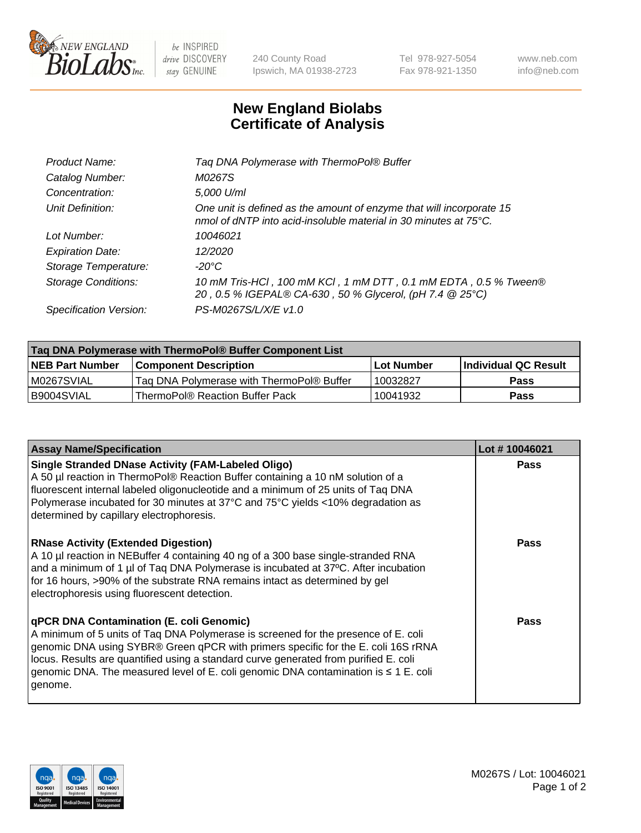

 $be$  INSPIRED drive DISCOVERY stay GENUINE

240 County Road Ipswich, MA 01938-2723 Tel 978-927-5054 Fax 978-921-1350 www.neb.com info@neb.com

## **New England Biolabs Certificate of Analysis**

| Taq DNA Polymerase with ThermoPol® Buffer                                                                                                |
|------------------------------------------------------------------------------------------------------------------------------------------|
| M0267S                                                                                                                                   |
| 5,000 U/ml                                                                                                                               |
| One unit is defined as the amount of enzyme that will incorporate 15<br>nmol of dNTP into acid-insoluble material in 30 minutes at 75°C. |
| 10046021                                                                                                                                 |
| 12/2020                                                                                                                                  |
| $-20^{\circ}$ C                                                                                                                          |
| 10 mM Tris-HCl, 100 mM KCl, 1 mM DTT, 0.1 mM EDTA, 0.5 % Tween®<br>20, 0.5 % IGEPAL® CA-630, 50 % Glycerol, (pH 7.4 @ 25°C)              |
| PS-M0267S/L/X/E v1.0                                                                                                                     |
|                                                                                                                                          |

| Tag DNA Polymerase with ThermoPol® Buffer Component List |                                           |                   |                      |  |
|----------------------------------------------------------|-------------------------------------------|-------------------|----------------------|--|
| <b>NEB Part Number</b>                                   | <b>Component Description</b>              | <b>Lot Number</b> | Individual QC Result |  |
| IM0267SVIAL                                              | Tag DNA Polymerase with ThermoPol® Buffer | 10032827          | <b>Pass</b>          |  |
| I B9004SVIAL                                             | ThermoPol® Reaction Buffer Pack           | 10041932          | <b>Pass</b>          |  |

| <b>Assay Name/Specification</b>                                                                                                                                                                                                                                                                                                                                                                               | Lot #10046021 |
|---------------------------------------------------------------------------------------------------------------------------------------------------------------------------------------------------------------------------------------------------------------------------------------------------------------------------------------------------------------------------------------------------------------|---------------|
| <b>Single Stranded DNase Activity (FAM-Labeled Oligo)</b><br>A 50 µl reaction in ThermoPol® Reaction Buffer containing a 10 nM solution of a<br>fluorescent internal labeled oligonucleotide and a minimum of 25 units of Taq DNA<br>Polymerase incubated for 30 minutes at 37°C and 75°C yields <10% degradation as<br>determined by capillary electrophoresis.                                              | <b>Pass</b>   |
| <b>RNase Activity (Extended Digestion)</b><br>A 10 µl reaction in NEBuffer 4 containing 40 ng of a 300 base single-stranded RNA<br>and a minimum of 1 µl of Taq DNA Polymerase is incubated at 37°C. After incubation<br>for 16 hours, >90% of the substrate RNA remains intact as determined by gel<br>electrophoresis using fluorescent detection.                                                          | <b>Pass</b>   |
| qPCR DNA Contamination (E. coli Genomic)<br>A minimum of 5 units of Taq DNA Polymerase is screened for the presence of E. coli<br>genomic DNA using SYBR® Green qPCR with primers specific for the E. coli 16S rRNA<br>locus. Results are quantified using a standard curve generated from purified E. coli<br>genomic DNA. The measured level of E. coli genomic DNA contamination is ≤ 1 E. coli<br>genome. | Pass          |